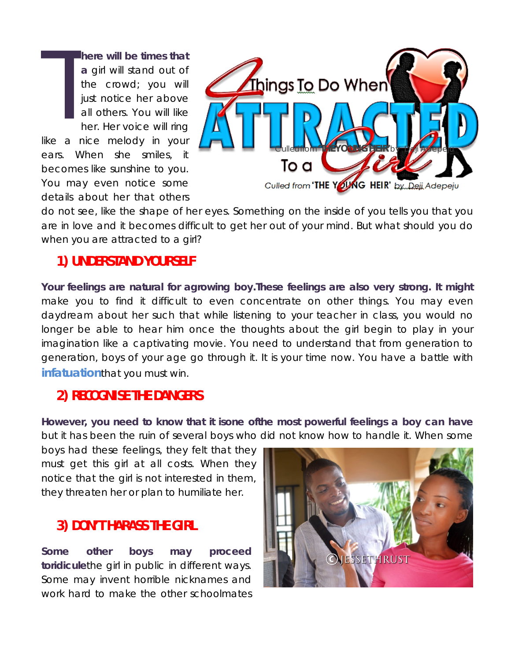**here will be times that a** girl will stand out of the crowd; you will just notice her above all others. You will like her. Her voice will ring like a nice melody in your ears. When she smiles, it becomes like sunshine to you. You may even notice some details about her that others T



do not see, like the shape of her eyes. Something on the inside of you tells you that you are in love and it becomes difficult to get her out of your mind. But what should you do when you are attracted to a girl?

## **1) UNDERSTAND YOURSELF**

**Your feelings are natural for agrowing boy.These feelings are also very strong. It might** make you to find it difficult to even concentrate on other things. You may even daydream about her such that while listening to your teacher in class, you would no longer be able to hear him once the thoughts about the girl begin to play in your imagination like a captivating movie. You need to understand that from generation to generation, boys of your age go through it. It is your time now. You have a battle with **[infatuation](http://www.jessethrust.com/7-ways-to-handle-infatuation.pdf)**that you must win.

## **2) RECOGNISE THE DANGERS**

**However, you need to know that it isone ofthe most powerful feelings a boy can have** but it has been the ruin of several boys who did not know how to handle it. When some

boys had these feelings, they felt that they must get this girl at all costs. When they notice that the girl is not interested in them, they threaten her or plan to humiliate her.

## **3) DON'T HARASS THE GIRL**

**Some other boys may proceed toridicule**the girl in public in different ways. Some may invent horrible nicknames and work hard to make the other schoolmates